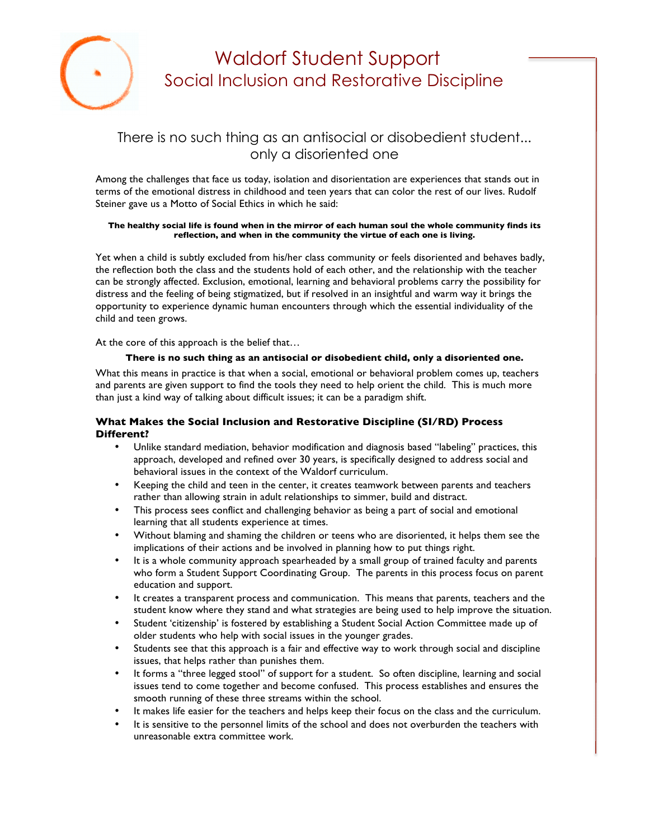

# Waldorf Student Support Social Inclusion and Restorative Discipline

## There is no such thing as an antisocial or disobedient student... only a disoriented one

Among the challenges that face us today, isolation and disorientation are experiences that stands out in terms of the emotional distress in childhood and teen years that can color the rest of our lives. Rudolf Steiner gave us a Motto of Social Ethics in which he said:

#### **The healthy social life is found when in the mirror of each human soul the whole community finds its reflection, and when in the community the virtue of each one is living.**

Yet when a child is subtly excluded from his/her class community or feels disoriented and behaves badly, the reflection both the class and the students hold of each other, and the relationship with the teacher can be strongly affected. Exclusion, emotional, learning and behavioral problems carry the possibility for distress and the feeling of being stigmatized, but if resolved in an insightful and warm way it brings the opportunity to experience dynamic human encounters through which the essential individuality of the child and teen grows.

At the core of this approach is the belief that…

#### **There is no such thing as an antisocial or disobedient child, only a disoriented one.**

What this means in practice is that when a social, emotional or behavioral problem comes up, teachers and parents are given support to find the tools they need to help orient the child. This is much more than just a kind way of talking about difficult issues; it can be a paradigm shift.

### **What Makes the Social Inclusion and Restorative Discipline (SI/RD) Process Different?**

- Unlike standard mediation, behavior modification and diagnosis based "labeling" practices, this approach, developed and refined over 30 years, is specifically designed to address social and behavioral issues in the context of the Waldorf curriculum.
- Keeping the child and teen in the center, it creates teamwork between parents and teachers rather than allowing strain in adult relationships to simmer, build and distract.
- This process sees conflict and challenging behavior as being a part of social and emotional learning that all students experience at times.
- Without blaming and shaming the children or teens who are disoriented, it helps them see the implications of their actions and be involved in planning how to put things right.
- It is a whole community approach spearheaded by a small group of trained faculty and parents who form a Student Support Coordinating Group. The parents in this process focus on parent education and support.
- It creates a transparent process and communication. This means that parents, teachers and the student know where they stand and what strategies are being used to help improve the situation.
- Student 'citizenship' is fostered by establishing a Student Social Action Committee made up of older students who help with social issues in the younger grades.
- Students see that this approach is a fair and effective way to work through social and discipline issues, that helps rather than punishes them.
- It forms a "three legged stool" of support for a student. So often discipline, learning and social issues tend to come together and become confused. This process establishes and ensures the smooth running of these three streams within the school.
- It makes life easier for the teachers and helps keep their focus on the class and the curriculum.
- It is sensitive to the personnel limits of the school and does not overburden the teachers with unreasonable extra committee work.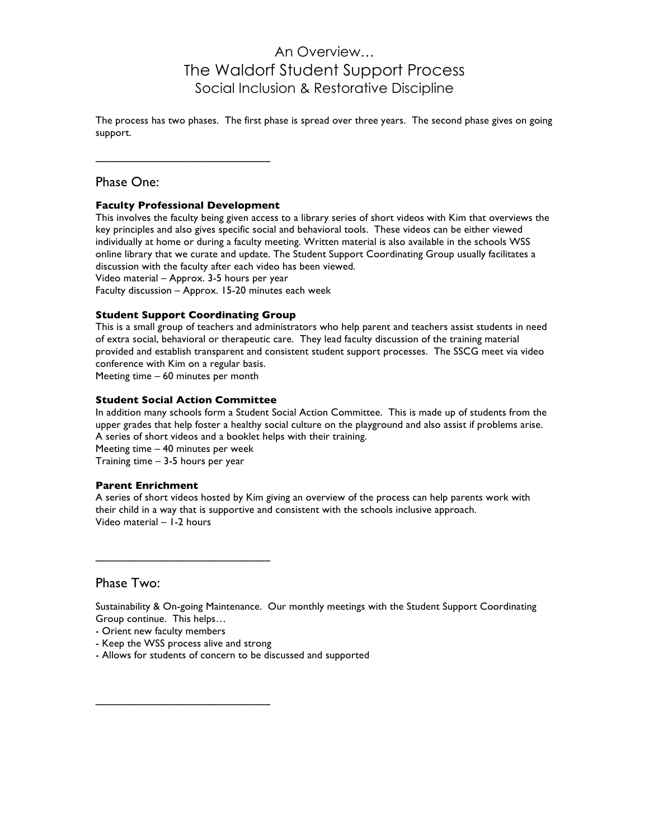# An Overview… The Waldorf Student Support Process Social Inclusion & Restorative Discipline

The process has two phases. The first phase is spread over three years. The second phase gives on going support.

### Phase One:

### **Faculty Professional Development**

**\_\_\_\_\_\_\_\_\_\_\_\_\_\_\_\_\_\_\_\_\_\_\_\_\_\_\_\_\_\_\_\_\_**

This involves the faculty being given access to a library series of short videos with Kim that overviews the key principles and also gives specific social and behavioral tools. These videos can be either viewed individually at home or during a faculty meeting. Written material is also available in the schools WSS online library that we curate and update. The Student Support Coordinating Group usually facilitates a discussion with the faculty after each video has been viewed. Video material – Approx. 3-5 hours per year

Faculty discussion – Approx. 15-20 minutes each week

#### **Student Support Coordinating Group**

This is a small group of teachers and administrators who help parent and teachers assist students in need of extra social, behavioral or therapeutic care. They lead faculty discussion of the training material provided and establish transparent and consistent student support processes. The SSCG meet via video conference with Kim on a regular basis.

Meeting time – 60 minutes per month

#### **Student Social Action Committee**

In addition many schools form a Student Social Action Committee. This is made up of students from the upper grades that help foster a healthy social culture on the playground and also assist if problems arise. A series of short videos and a booklet helps with their training. Meeting time – 40 minutes per week Training time – 3-5 hours per year

# **Parent Enrichment**

A series of short videos hosted by Kim giving an overview of the process can help parents work with their child in a way that is supportive and consistent with the schools inclusive approach. Video material – 1-2 hours

### Phase Two:

Sustainability & On-going Maintenance. Our monthly meetings with the Student Support Coordinating Group continue. This helps…

- Orient new faculty members
- Keep the WSS process alive and strong

**\_\_\_\_\_\_\_\_\_\_\_\_\_\_\_\_\_\_\_\_\_\_\_\_\_\_\_\_\_\_\_\_\_**

**\_\_\_\_\_\_\_\_\_\_\_\_\_\_\_\_\_\_\_\_\_\_\_\_\_\_\_\_\_\_\_\_\_**

- Allows for students of concern to be discussed and supported